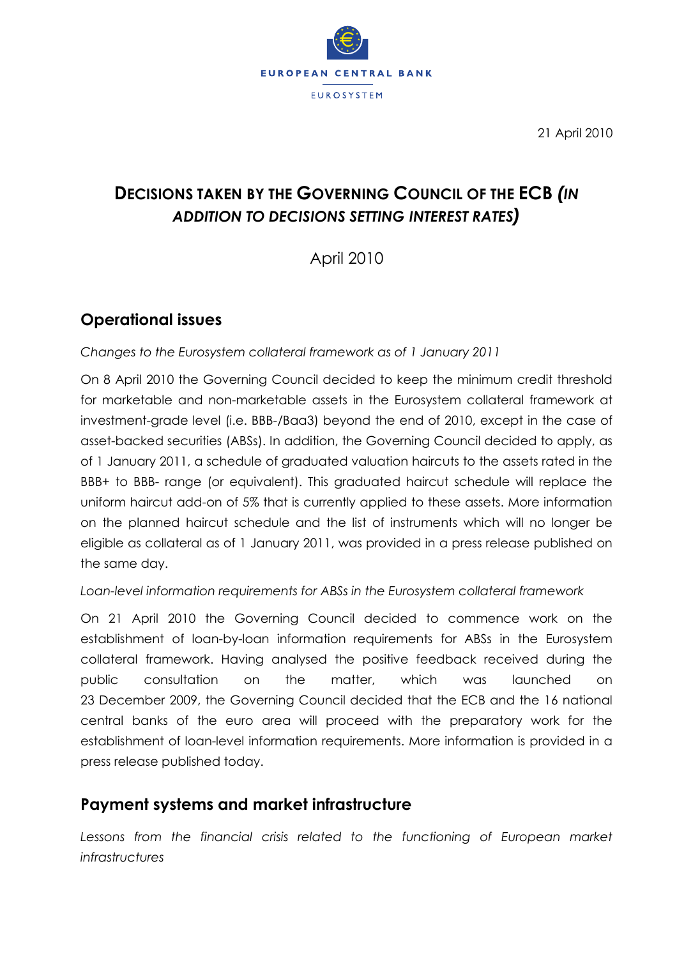

21 April 2010

# **DECISIONS TAKEN BY THE GOVERNING COUNCIL OF THE ECB** *(IN ADDITION TO DECISIONS SETTING INTEREST RATES)*

April 2010

## **Operational issues**

*Changes to the Eurosystem collateral framework as of 1 January 2011*

On 8 April 2010 the Governing Council decided to keep the minimum credit threshold for marketable and non-marketable assets in the Eurosystem collateral framework at investment-grade level (i.e. BBB-/Baa3) beyond the end of 2010, except in the case of asset-backed securities (ABSs). In addition, the Governing Council decided to apply, as of 1 January 2011, a schedule of graduated valuation haircuts to the assets rated in the BBB+ to BBB- range (or equivalent). This graduated haircut schedule will replace the uniform haircut add-on of 5% that is currently applied to these assets. More information on the planned haircut schedule and the list of instruments which will no longer be eligible as collateral as of 1 January 2011, was provided in a press release published on the same day.

*Loan-level information requirements for ABSs in the Eurosystem collateral framework*

On 21 April 2010 the Governing Council decided to commence work on the establishment of loan-by-loan information requirements for ABSs in the Eurosystem collateral framework. Having analysed the positive feedback received during the public consultation on the matter, which was launched on 23 December 2009, the Governing Council decided that the ECB and the 16 national central banks of the euro area will proceed with the preparatory work for the establishment of loan-level information requirements. More information is provided in a press release published today.

### **Payment systems and market infrastructure**

*Lessons from the financial crisis related to the functioning of European market infrastructures*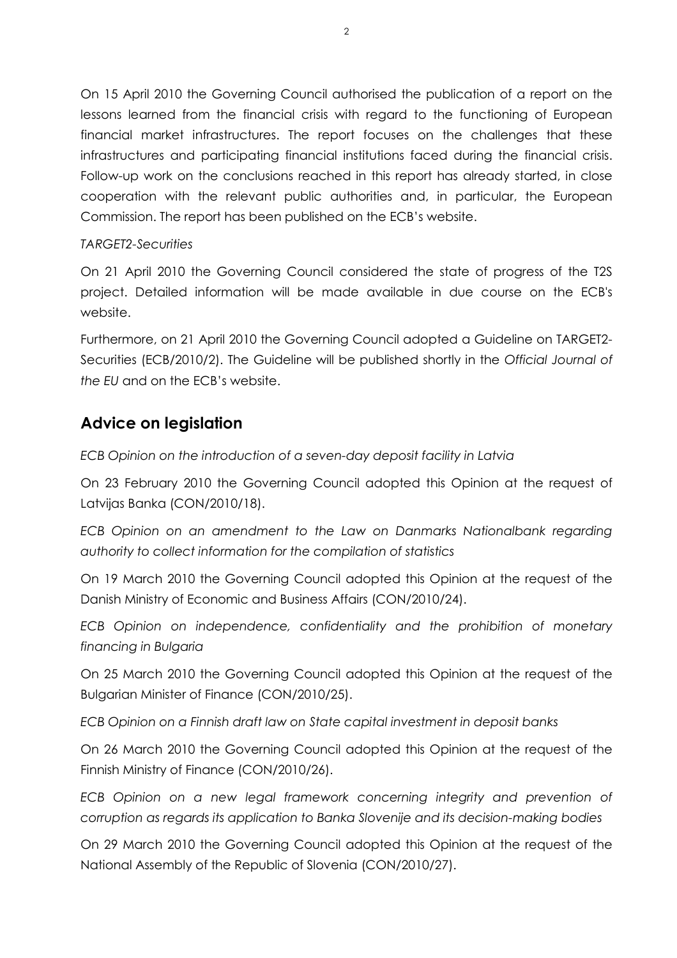On 15 April 2010 the Governing Council authorised the publication of a report on the lessons learned from the financial crisis with regard to the functioning of European financial market infrastructures. The report focuses on the challenges that these infrastructures and participating financial institutions faced during the financial crisis. Follow-up work on the conclusions reached in this report has already started, in close cooperation with the relevant public authorities and, in particular, the European Commission. The report has been published on the ECB's website.

#### *TARGET2-Securities*

On 21 April 2010 the Governing Council considered the state of progress of the T2S project. Detailed information will be made available in due course on the ECB's website.

Furthermore, on 21 April 2010 the Governing Council adopted a Guideline on TARGET2- Securities (ECB/2010/2). The Guideline will be published shortly in the *Official Journal of the EU* and on the ECB's website.

### **Advice on legislation**

*ECB Opinion on the introduction of a seven-day deposit facility in Latvia*

On 23 February 2010 the Governing Council adopted this Opinion at the request of Latvijas Banka (CON/2010/18).

*ECB Opinion on an amendment to the Law on Danmarks Nationalbank regarding authority to collect information for the compilation of statistics*

On 19 March 2010 the Governing Council adopted this Opinion at the request of the Danish Ministry of Economic and Business Affairs (CON/2010/24).

*ECB Opinion on independence, confidentiality and the prohibition of monetary financing in Bulgaria*

On 25 March 2010 the Governing Council adopted this Opinion at the request of the Bulgarian Minister of Finance (CON/2010/25).

*ECB Opinion on a Finnish draft law on State capital investment in deposit banks*

On 26 March 2010 the Governing Council adopted this Opinion at the request of the Finnish Ministry of Finance (CON/2010/26).

*ECB Opinion on a new legal framework concerning integrity and prevention of corruption as regards its application to Banka Slovenije and its decision-making bodies*

On 29 March 2010 the Governing Council adopted this Opinion at the request of the National Assembly of the Republic of Slovenia (CON/2010/27).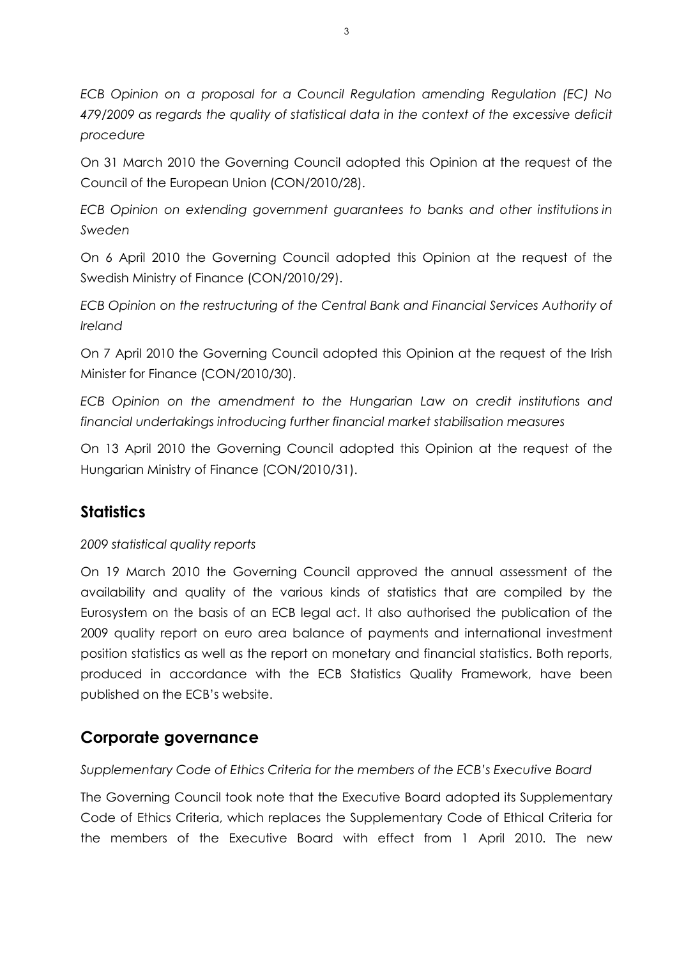*ECB Opinion on a proposal for a Council Regulation amending Regulation (EC) No 479/2009 as regards the quality of statistical data in the context of the excessive deficit procedure*

On 31 March 2010 the Governing Council adopted this Opinion at the request of the Council of the European Union (CON/2010/28).

*ECB Opinion on extending government guarantees to banks and other institutions in Sweden*

On 6 April 2010 the Governing Council adopted this Opinion at the request of the Swedish Ministry of Finance (CON/2010/29).

*ECB Opinion on the restructuring of the Central Bank and Financial Services Authority of Ireland*

On 7 April 2010 the Governing Council adopted this Opinion at the request of the Irish Minister for Finance (CON/2010/30).

*ECB Opinion on the amendment to the Hungarian Law on credit institutions and financial undertakings introducing further financial market stabilisation measures*

On 13 April 2010 the Governing Council adopted this Opinion at the request of the Hungarian Ministry of Finance (CON/2010/31).

### **Statistics**

#### *2009 statistical quality reports*

On 19 March 2010 the Governing Council approved the annual assessment of the availability and quality of the various kinds of statistics that are compiled by the Eurosystem on the basis of an ECB legal act. It also authorised the publication of the 2009 quality report on euro area balance of payments and international investment position statistics as well as the report on monetary and financial statistics. Both reports, produced in accordance with the ECB Statistics Quality Framework, have been published on the ECB's website.

### **Corporate governance**

#### *Supplementary Code of Ethics Criteria for the members of the ECB's Executive Board*

The Governing Council took note that the Executive Board adopted its Supplementary Code of Ethics Criteria, which replaces the Supplementary Code of Ethical Criteria for the members of the Executive Board with effect from 1 April 2010. The new